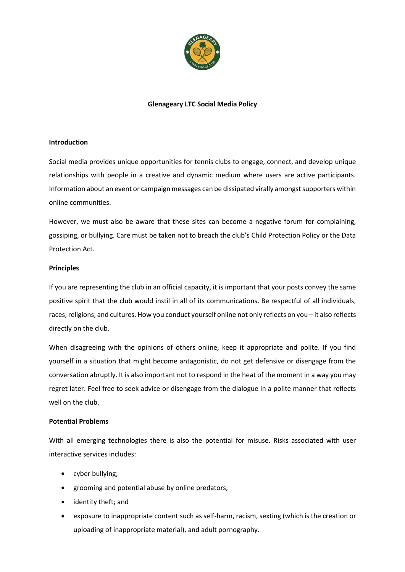

# **Glenageary LTC Social Media Policy**

### **Introduction**

Social media provides unique opportunities for tennis clubs to engage, connect, and develop unique relationships with people in a creative and dynamic medium where users are active participants. Information about an event or campaign messages can be dissipated virally amongst supporters within online communities.

However, we must also be aware that these sites can become a negative forum for complaining, gossiping, or bullying. Care must be taken not to breach the club's Child Protection Policy or the Data Protection Act.

# **Principles**

If you are representing the club in an official capacity, it is important that your posts convey the same positive spirit that the club would instil in all of its communications. Be respectful of all individuals, races, religions, and cultures. How you conduct yourself online not only reflects on you – it also reflects directly on the club.

When disagreeing with the opinions of others online, keep it appropriate and polite. If you find yourself in a situation that might become antagonistic, do not get defensive or disengage from the conversation abruptly. It is also important not to respond in the heat of the moment in a way you may regret later. Feel free to seek advice or disengage from the dialogue in a polite manner that reflects well on the club.

#### **Potential Problems**

With all emerging technologies there is also the potential for misuse. Risks associated with user interactive services includes:

- cyber bullying;
- grooming and potential abuse by online predators;
- identity theft; and
- exposure to inappropriate content such as self-harm, racism, sexting (which is the creation or uploading of inappropriate material), and adult pornography.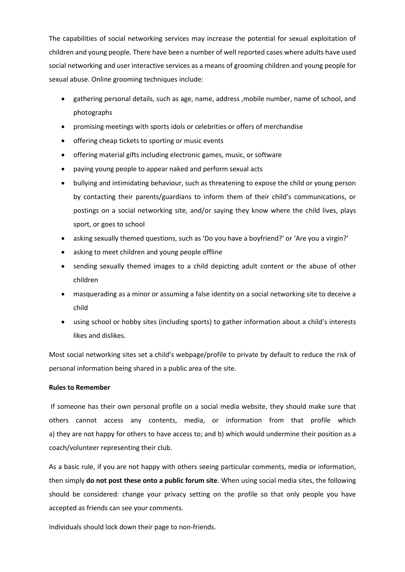The capabilities of social networking services may increase the potential for sexual exploitation of children and young people. There have been a number of well reported cases where adults have used social networking and user interactive services as a means of grooming children and young people for sexual abuse. Online grooming techniques include:

- gathering personal details, such as age, name, address ,mobile number, name of school, and photographs
- promising meetings with sports idols or celebrities or offers of merchandise
- offering cheap tickets to sporting or music events
- offering material gifts including electronic games, music, or software
- paying young people to appear naked and perform sexual acts
- bullying and intimidating behaviour, such as threatening to expose the child or young person by contacting their parents/guardians to inform them of their child's communications, or postings on a social networking site, and/or saying they know where the child lives, plays sport, or goes to school
- asking sexually themed questions, such as 'Do you have a boyfriend?' or 'Are you a virgin?'
- asking to meet children and young people offline
- sending sexually themed images to a child depicting adult content or the abuse of other children
- masquerading as a minor or assuming a false identity on a social networking site to deceive a child
- using school or hobby sites (including sports) to gather information about a child's interests likes and dislikes.

Most social networking sites set a child's webpage/profile to private by default to reduce the risk of personal information being shared in a public area of the site.

#### **Rules to Remember**

If someone has their own personal profile on a social media website, they should make sure that others cannot access any contents, media, or information from that profile which a) they are not happy for others to have access to; and b) which would undermine their position as a coach/volunteer representing their club.

As a basic rule, if you are not happy with others seeing particular comments, media or information, then simply **do not post these onto a public forum site**. When using social media sites, the following should be considered: change your privacy setting on the profile so that only people you have accepted as friends can see your comments.

Individuals should lock down their page to non-friends.